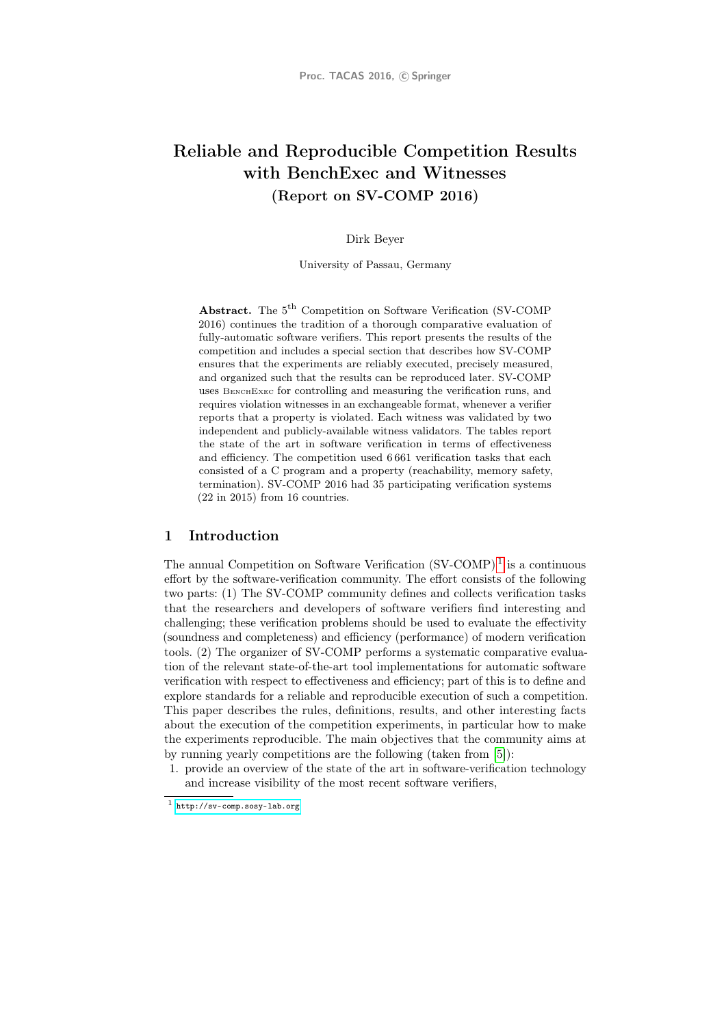# <span id="page-0-0"></span>. Reliable and Reproducible Competition Results with BenchExec and Witnesses (Report on SV-COMP 2016)

Dirk Beyer

University of Passau, Germany

Abstract. The 5<sup>th</sup> Competition on Software Verification (SV-COMP) 2016) continues the tradition of a thorough comparative evaluation of fully-automatic software verifiers. This report presents the results of the competition and includes a special section that describes how SV-COMP ensures that the experiments are reliably executed, precisely measured, and organized such that the results can be reproduced later. SV-COMP uses BenchExec for controlling and measuring the verification runs, and requires violation witnesses in an exchangeable format, whenever a verifier reports that a property is violated. Each witness was validated by two independent and publicly-available witness validators. The tables report the state of the art in software verification in terms of effectiveness and efficiency. The competition used 6 661 verification tasks that each consisted of a C program and a property (reachability, memory safety, termination). SV-COMP 2016 had 35 participating verification systems (22 in 2015) from 16 countries.

#### 1 Introduction

The annual Competition on Software Verification  $(SV\text{-COMP})$ <sup>1</sup> is a continuous effort by the software-verification community. The effort consists of the following two parts: (1) The SV-COMP community defines and collects verification tasks that the researchers and developers of software verifiers find interesting and challenging; these verification problems should be used to evaluate the effectivity (soundness and completeness) and efficiency (performance) of modern verification tools. (2) The organizer of SV-COMP performs a systematic comparative evaluation of the relevant state-of-the-art tool implementations for automatic software verification with respect to effectiveness and efficiency; part of this is to define and explore standards for a reliable and reproducible execution of such a competition. This paper describes the rules, definitions, results, and other interesting facts about the execution of the competition experiments, in particular how to make the experiments reproducible. The main objectives that the community aims at by running yearly competitions are the following (taken from [\[5\]](#page-14-0)):

1. provide an overview of the state of the art in software-verification technology and increase visibility of the most recent software verifiers,

<sup>1</sup> <http://sv-comp.sosy-lab.org>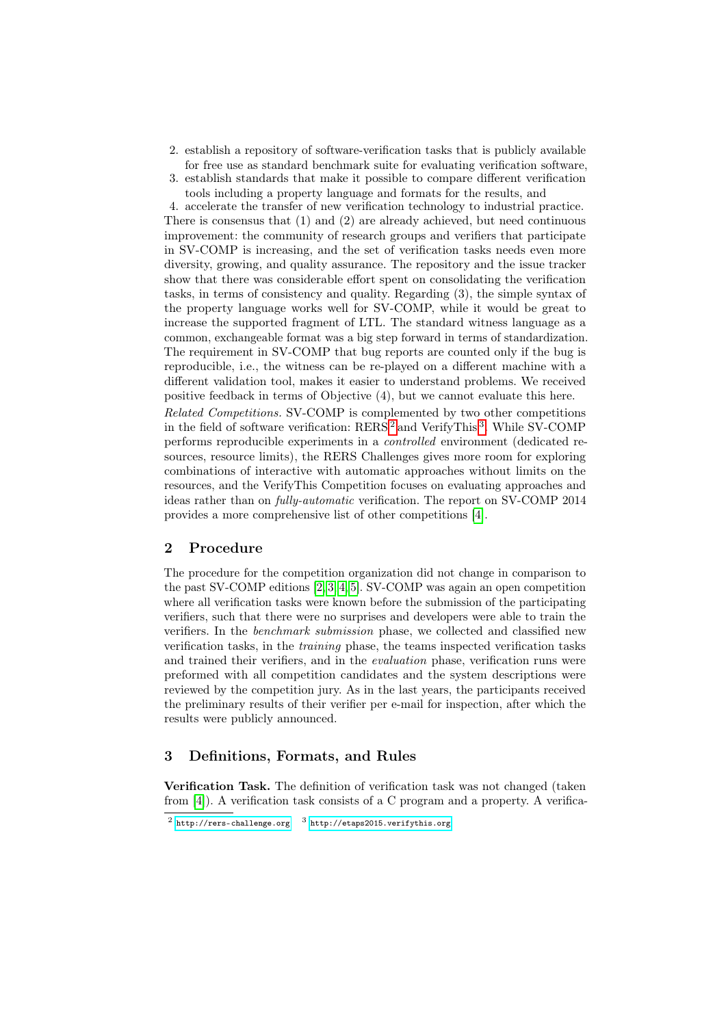- 2. establish a repository of software-verification tasks that is publicly available for free use as standard benchmark suite for evaluating verification software,
- 3. establish standards that make it possible to compare different verification tools including a property language and formats for the results, and

4. accelerate the transfer of new verification technology to industrial practice. There is consensus that (1) and (2) are already achieved, but need continuous improvement: the community of research groups and verifiers that participate in SV-COMP is increasing, and the set of verification tasks needs even more diversity, growing, and quality assurance. The repository and the issue tracker show that there was considerable effort spent on consolidating the verification tasks, in terms of consistency and quality. Regarding (3), the simple syntax of the property language works well for SV-COMP, while it would be great to increase the supported fragment of LTL. The standard witness language as a common, exchangeable format was a big step forward in terms of standardization. The requirement in SV-COMP that bug reports are counted only if the bug is reproducible, i.e., the witness can be re-played on a different machine with a different validation tool, makes it easier to understand problems. We received positive feedback in terms of Objective (4), but we cannot evaluate this here. Related Competitions. SV-COMP is complemented by two other competitions in the field of software verification: RERS<sup>[2](#page-0-0)</sup> and VerifyThis<sup>[3](#page-0-0)</sup>. While SV-COMP performs reproducible experiments in a controlled environment (dedicated resources, resource limits), the RERS Challenges gives more room for exploring combinations of interactive with automatic approaches without limits on the resources, and the VerifyThis Competition focuses on evaluating approaches and ideas rather than on fully-automatic verification. The report on SV-COMP 2014

#### 2 Procedure

The procedure for the competition organization did not change in comparison to the past SV-COMP editions [\[2,](#page-14-2) [3,](#page-14-3) [4,](#page-14-1) [5\]](#page-14-0). SV-COMP was again an open competition where all verification tasks were known before the submission of the participating verifiers, such that there were no surprises and developers were able to train the verifiers. In the benchmark submission phase, we collected and classified new verification tasks, in the training phase, the teams inspected verification tasks and trained their verifiers, and in the evaluation phase, verification runs were preformed with all competition candidates and the system descriptions were reviewed by the competition jury. As in the last years, the participants received the preliminary results of their verifier per e-mail for inspection, after which the results were publicly announced.

provides a more comprehensive list of other competitions [\[4\]](#page-14-1).

## 3 Definitions, Formats, and Rules

Verification Task. The definition of verification task was not changed (taken from [\[4\]](#page-14-1)). A verification task consists of a C program and a property. A verifica-

 $^2$  <http://rers-challenge.org>  $^{-3}$  <http://etaps2015.verifythis.org>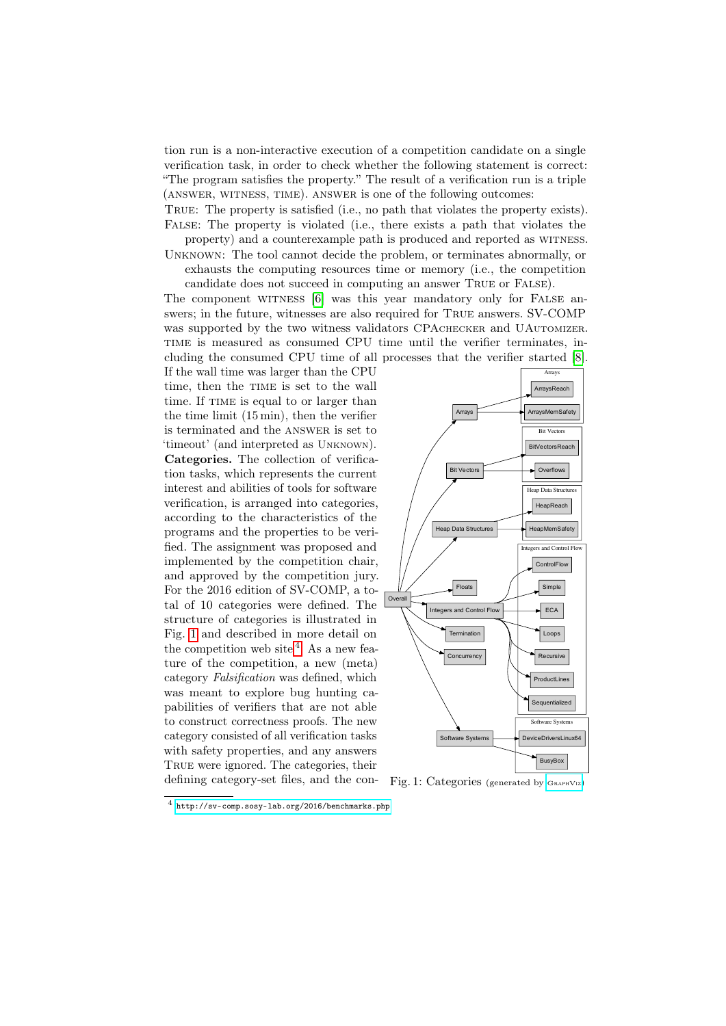tion run is a non-interactive execution of a competition candidate on a single verification task, in order to check whether the following statement is correct: "The program satisfies the property." The result of a verification run is a triple (answer, witness, time). answer is one of the following outcomes:

TRUE: The property is satisfied (i.e., no path that violates the property exists). False: The property is violated (i.e., there exists a path that violates the property) and a counterexample path is produced and reported as witness.

Unknown: The tool cannot decide the problem, or terminates abnormally, or exhausts the computing resources time or memory (i.e., the competition

candidate does not succeed in computing an answer True or False).

The component witness [\[6\]](#page-14-4) was this year mandatory only for False answers; in the future, witnesses are also required for True answers. SV-COMP was supported by the two witness validators CPACHECKER and UAUTOMIZER. time is measured as consumed CPU time until the verifier terminates, including the consumed CPU time of all processes that the verifier started [\[8\]](#page-14-5).

If the wall time was larger than the CPU time, then the TIME is set to the wall time. If TIME is equal to or larger than the time limit (15 min), then the verifier is terminated and the answer is set to 'timeout' (and interpreted as Unknown). Categories. The collection of verification tasks, which represents the current interest and abilities of tools for software verification, is arranged into categories, according to the characteristics of the programs and the properties to be verified. The assignment was proposed and implemented by the competition chair, and approved by the competition jury. For the 2016 edition of SV-COMP, a total of 10 categories were defined. The structure of categories is illustrated in Fig. [1](#page-2-0) and described in more detail on the competition web site<sup>[4](#page-0-0)</sup>. As a new feature of the competition, a new (meta) category Falsification was defined, which was meant to explore bug hunting capabilities of verifiers that are not able to construct correctness proofs. The new category consisted of all verification tasks with safety properties, and any answers True were ignored. The categories, their defining category-set files, and the con-

<span id="page-2-0"></span>

Fig. 1: Categories (generated by GRAPHVIZ)

 $^4$  <http://sv-comp.sosy-lab.org/2016/benchmarks.php>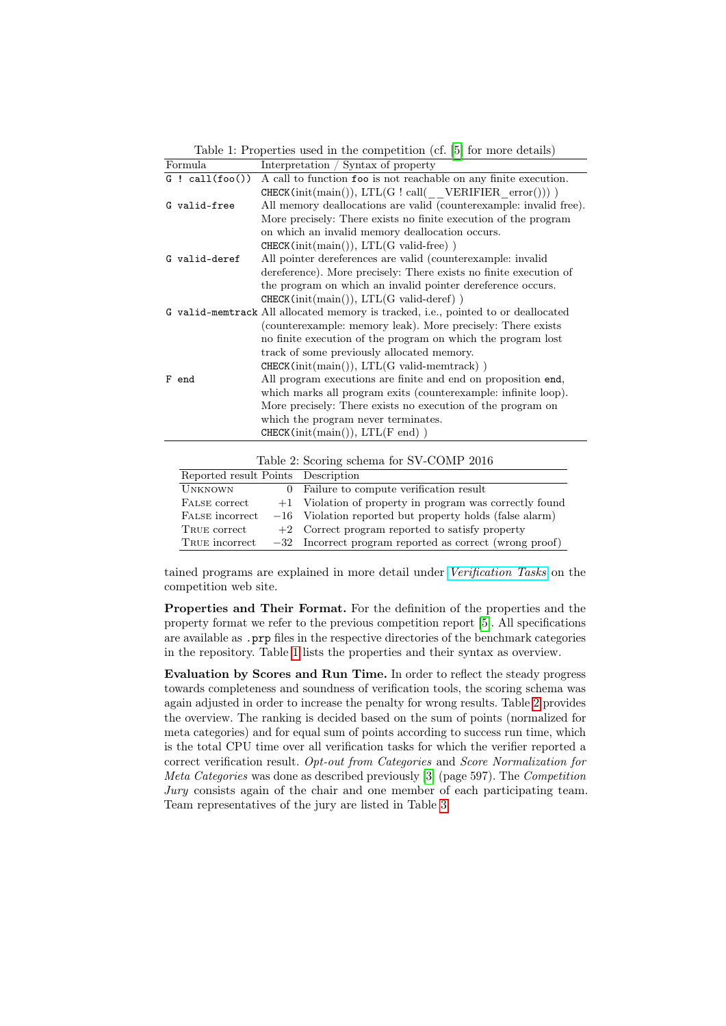<span id="page-3-0"></span>Table 1: Properties used in the competition (cf. [\[5\]](#page-14-0) for more details)

| Formula           | Interpretation / Syntax of property                                               |
|-------------------|-----------------------------------------------------------------------------------|
| $G$ ! call(foo()) | A call to function foo is not reachable on any finite execution.                  |
|                   | CHECK(init(main()), LTL(G!call( VERIFIER $error()$ )))                            |
| G valid-free      | All memory deallocations are valid (counterexample: invalid free).                |
|                   | More precisely: There exists no finite execution of the program                   |
|                   | on which an invalid memory deallocation occurs.                                   |
|                   | $CHECK (init(min))), LTL(G valid-free)$ )                                         |
| G valid-deref     | All pointer dereferences are valid (counterexample: invalid                       |
|                   | dereference). More precisely: There exists no finite execution of                 |
|                   | the program on which an invalid pointer dereference occurs.                       |
|                   | $CHECK (init (main)), LTL(G valid-derived))$                                      |
|                   | G valid-memtrack All allocated memory is tracked, i.e., pointed to or deallocated |
|                   | (counterexample: memory leak). More precisely: There exists                       |
|                   | no finite execution of the program on which the program lost                      |
|                   | track of some previously allocated memory.                                        |
|                   | $CHECK (init (main)), LTL(G valid-memtrack) )$                                    |
| F end             | All program executions are finite and end on proposition end,                     |
|                   | which marks all program exits (counterexample: infinite loop).                    |
|                   | More precisely: There exists no execution of the program on                       |
|                   | which the program never terminates.                                               |
|                   | CHECK $(\text{init}(\text{main})), \text{LTL}(F \text{ end})$ )                   |
|                   |                                                                                   |
|                   |                                                                                   |

<span id="page-3-1"></span>

| Table 2: Scoring schema for SV-COMP 2016 |  |                                                           |  |  |  |
|------------------------------------------|--|-----------------------------------------------------------|--|--|--|
| Reported result Points Description       |  |                                                           |  |  |  |
| <b>UNKNOWN</b>                           |  | 0 Failure to compute verification result                  |  |  |  |
| FALSE correct                            |  | +1 Violation of property in program was correctly found   |  |  |  |
| <b>FALSE</b> incorrect                   |  | $-16$ Violation reported but property holds (false alarm) |  |  |  |
| TRUE correct                             |  | $+2$ Correct program reported to satisfy property         |  |  |  |
| TRUE incorrect                           |  | $-32$ Incorrect program reported as correct (wrong proof) |  |  |  |

tained programs are explained in more detail under [Verification Tasks](http://sv-comp.sosy-lab.org/2015/benchmarks.php) on the competition web site.

Properties and Their Format. For the definition of the properties and the property format we refer to the previous competition report [\[5\]](#page-14-0). All specifications are available as .prp files in the respective directories of the benchmark categories in the repository. Table [1](#page-3-0) lists the properties and their syntax as overview.

Evaluation by Scores and Run Time. In order to reflect the steady progress towards completeness and soundness of verification tools, the scoring schema was again adjusted in order to increase the penalty for wrong results. Table [2](#page-3-1) provides the overview. The ranking is decided based on the sum of points (normalized for meta categories) and for equal sum of points according to success run time, which is the total CPU time over all verification tasks for which the verifier reported a correct verification result. Opt-out from Categories and Score Normalization for Meta Categories was done as described previously [\[3\]](#page-14-3) (page 597). The Competition Jury consists again of the chair and one member of each participating team. Team representatives of the jury are listed in Table [3.](#page-6-0)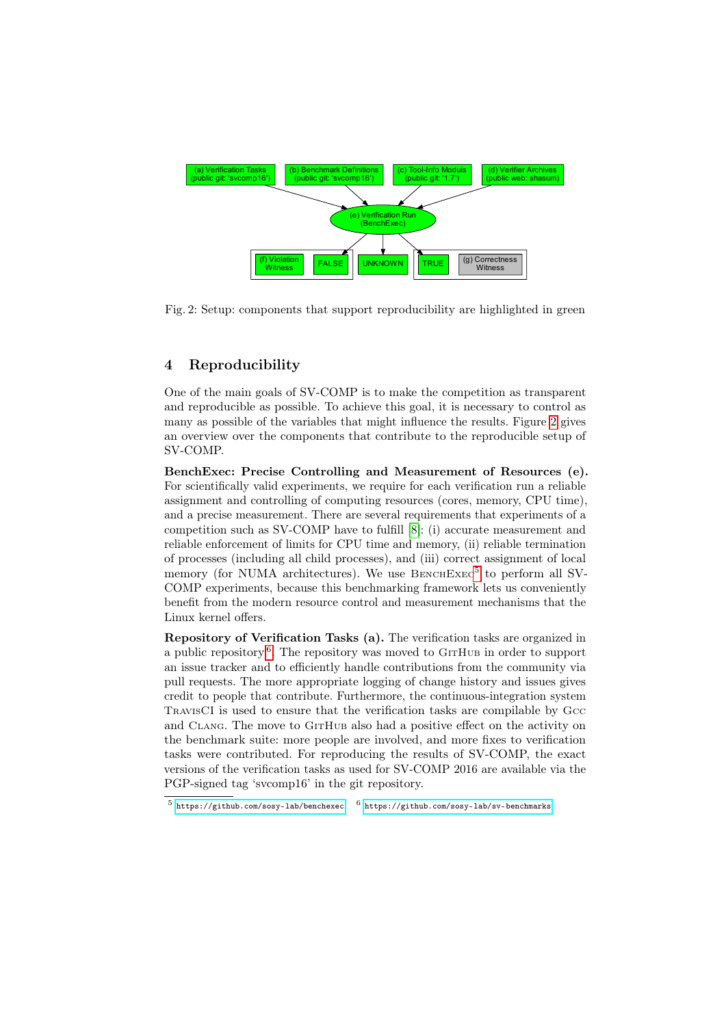<span id="page-4-0"></span>

Fig. 2: Setup: components that support reproducibility are highlighted in green

## 4 Reproducibility

One of the main goals of SV-COMP is to make the competition as transparent and reproducible as possible. To achieve this goal, it is necessary to control as many as possible of the variables that might influence the results. Figure [2](#page-4-0) gives an overview over the components that contribute to the reproducible setup of SV-COMP.

BenchExec: Precise Controlling and Measurement of Resources (e). For scientifically valid experiments, we require for each verification run a reliable assignment and controlling of computing resources (cores, memory, CPU time), and a precise measurement. There are several requirements that experiments of a competition such as SV-COMP have to fulfill [\[8\]](#page-14-5): (i) accurate measurement and reliable enforcement of limits for CPU time and memory, (ii) reliable termination of processes (including all child processes), and (iii) correct assignment of local memory (for NUMA architectures). We use BENCHEXEC<sup>[5](#page-0-0)</sup> to perform all SV-COMP experiments, because this benchmarking framework lets us conveniently benefit from the modern resource control and measurement mechanisms that the Linux kernel offers.

Repository of Verification Tasks (a). The verification tasks are organized in a public repository  $6$ . The repository was moved to GITHUB in order to support an issue tracker and to efficiently handle contributions from the community via pull requests. The more appropriate logging of change history and issues gives credit to people that contribute. Furthermore, the continuous-integration system TravisCI is used to ensure that the verification tasks are compilable by Gcc and CLANG. The move to GITHUB also had a positive effect on the activity on the benchmark suite: more people are involved, and more fixes to verification tasks were contributed. For reproducing the results of SV-COMP, the exact versions of the verification tasks as used for SV-COMP 2016 are available via the PGP-signed tag 'svcomp16' in the git repository.

 $^5$  <https://github.com/sosy-lab/benchexec>  $^{-6}$  <https://github.com/sosy-lab/sv-benchmarks>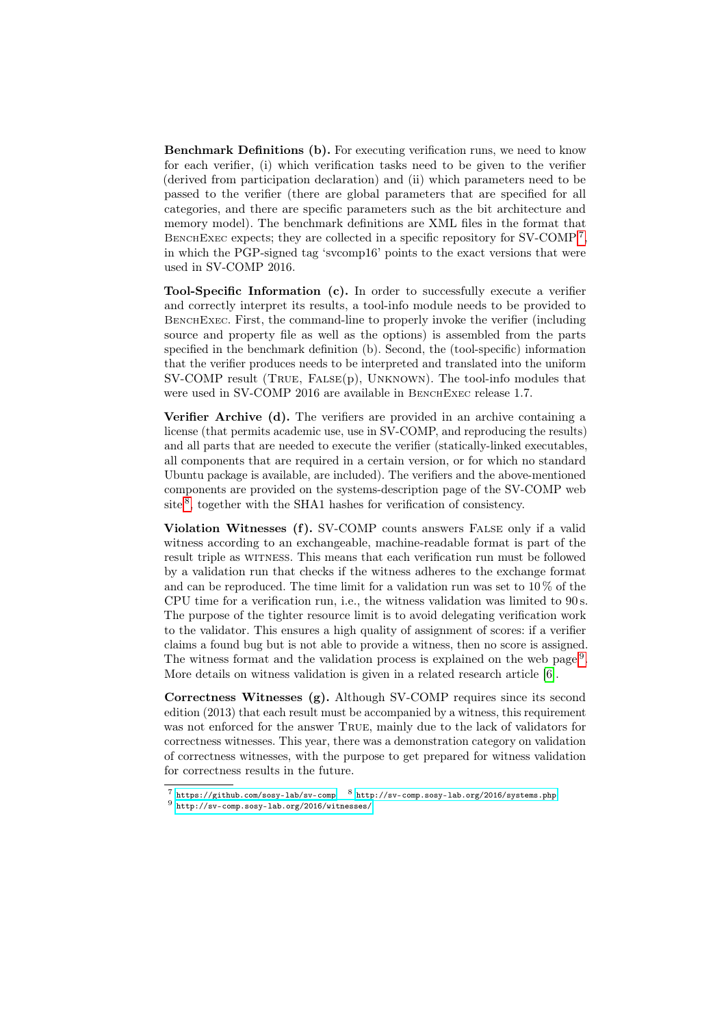Benchmark Definitions (b). For executing verification runs, we need to know for each verifier, (i) which verification tasks need to be given to the verifier (derived from participation declaration) and (ii) which parameters need to be passed to the verifier (there are global parameters that are specified for all categories, and there are specific parameters such as the bit architecture and memory model). The benchmark definitions are XML files in the format that BENCHEXEC expects; they are collected in a specific repository for SV-COMP<sup>[7](#page-0-0)</sup>, in which the PGP-signed tag 'svcomp16' points to the exact versions that were used in SV-COMP 2016.

Tool-Specific Information (c). In order to successfully execute a verifier and correctly interpret its results, a tool-info module needs to be provided to BenchExec. First, the command-line to properly invoke the verifier (including source and property file as well as the options) is assembled from the parts specified in the benchmark definition (b). Second, the (tool-specific) information that the verifier produces needs to be interpreted and translated into the uniform SV-COMP result (True, False(p), Unknown). The tool-info modules that were used in SV-COMP 2016 are available in BenchExec release 1.7.

Verifier Archive (d). The verifiers are provided in an archive containing a license (that permits academic use, use in SV-COMP, and reproducing the results) and all parts that are needed to execute the verifier (statically-linked executables, all components that are required in a certain version, or for which no standard Ubuntu package is available, are included). The verifiers and the above-mentioned components are provided on the systems-description page of the SV-COMP web site<sup>[8](#page-0-0)</sup>, together with the SHA1 hashes for verification of consistency.

Violation Witnesses (f). SV-COMP counts answers False only if a valid witness according to an exchangeable, machine-readable format is part of the result triple as witness. This means that each verification run must be followed by a validation run that checks if the witness adheres to the exchange format and can be reproduced. The time limit for a validation run was set to 10 % of the CPU time for a verification run, i.e., the witness validation was limited to 90 s. The purpose of the tighter resource limit is to avoid delegating verification work to the validator. This ensures a high quality of assignment of scores: if a verifier claims a found bug but is not able to provide a witness, then no score is assigned. The witness format and the validation process is explained on the web page<sup>[9](#page-0-0)</sup>. More details on witness validation is given in a related research article [\[6\]](#page-14-4).

Correctness Witnesses (g). Although SV-COMP requires since its second edition (2013) that each result must be accompanied by a witness, this requirement was not enforced for the answer True, mainly due to the lack of validators for correctness witnesses. This year, there was a demonstration category on validation of correctness witnesses, with the purpose to get prepared for witness validation for correctness results in the future.

 $^7$  <https://github.com/sosy-lab/sv-comp>  $^{-8}$  <http://sv-comp.sosy-lab.org/2016/systems.php>

 $^9$  <http://sv-comp.sosy-lab.org/2016/witnesses/>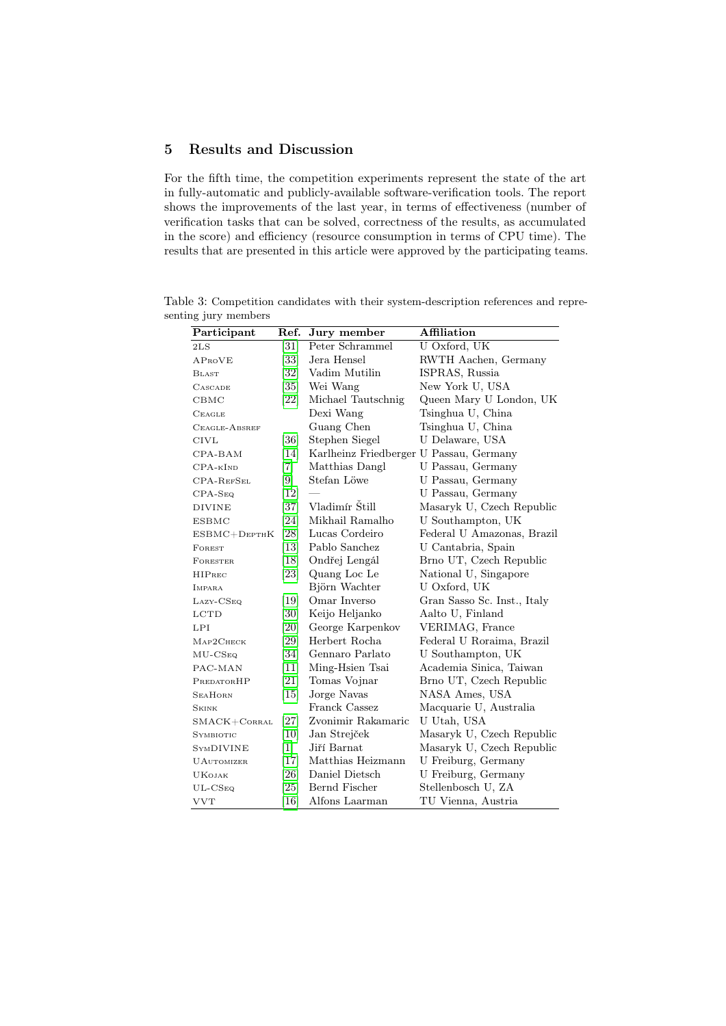## 5 Results and Discussion

For the fifth time, the competition experiments represent the state of the art in fully-automatic and publicly-available software-verification tools. The report shows the improvements of the last year, in terms of effectiveness (number of verification tasks that can be solved, correctness of the results, as accumulated in the score) and efficiency (resource consumption in terms of CPU time). The results that are presented in this article were approved by the participating teams.

| Participant       | Ref.               | Jury member                             | Affiliation                 |
|-------------------|--------------------|-----------------------------------------|-----------------------------|
| 2LS               | $[31]$             | Peter Schrammel                         | U Oxford, UK                |
| APROVE            | [33]               | Jera Hensel                             | RWTH Aachen, Germany        |
| <b>BLAST</b>      | [32]               | Vadim Mutilin                           | ISPRAS, Russia              |
| CASCADE           | [35]               | Wei Wang                                | New York U, USA             |
| CBMC              | [22]               | Michael Tautschnig                      | Queen Mary U London, UK     |
| <b>CEAGLE</b>     |                    | Dexi Wang                               | Tsinghua U, China           |
| CEAGLE-ABSREF     |                    | Guang Chen                              | Tsinghua U, China           |
| <b>CIVL</b>       | $[36]$             | Stephen Siegel                          | U Delaware, USA             |
| $CPA-BAM$         | 14                 | Karlheinz Friedberger U Passau, Germany |                             |
| $CPA-KIND$        | $[7]$              | Matthias Dangl                          | U Passau, Germany           |
| $CPA$ -REFSEL     | $[9]$              | Stefan Löwe                             | U Passau, Germany           |
| $CPA-SEQ$         | 12                 |                                         | U Passau, Germany           |
| <b>DIVINE</b>     | $[37]$             | Vladimír Štill                          | Masaryk U, Czech Republic   |
| <b>ESBMC</b>      | [24]               | Mikhail Ramalho                         | U Southampton, UK           |
| $ESBMC+DEFHK$     | [28]               | Lucas Cordeiro                          | Federal U Amazonas, Brazil  |
| FOREST            | 13                 | Pablo Sanchez                           | U Cantabria, Spain          |
| FORESTER          | [18]               | Ondřej Lengál                           | Brno UT, Czech Republic     |
| <b>HIPREC</b>     | [23]               | Quang Loc Le                            | National U, Singapore       |
| <b>IMPARA</b>     |                    | Björn Wachter                           | U Oxford, UK                |
| LAZY-CSEO         | $[19]$             | Omar Inverso                            | Gran Sasso Sc. Inst., Italy |
| <b>LCTD</b>       | [30]               | Keijo Heljanko                          | Aalto U, Finland            |
| LPI.              | $[20]$             | George Karpenkov                        | VERIMAG, France             |
| MAP2CHECK         | [29]               | Herbert Rocha                           | Federal U Roraima, Brazil   |
| MU-CSEQ           | [34]               | Gennaro Parlato                         | U Southampton, UK           |
| PAC-MAN           | $[11]$             | Ming-Hsien Tsai                         | Academia Sinica, Taiwan     |
| <b>PREDATORHP</b> | [21]               | Tomas Vojnar                            | Brno UT, Czech Republic     |
| <b>SEAHORN</b>    | 15                 | Jorge Navas                             | NASA Ames, USA              |
| <b>SKINK</b>      |                    | Franck Cassez                           | Macquarie U, Australia      |
| $SMACK+CORRAL$    | [27]               | Zvonimir Rakamaric                      | U Utah, USA                 |
| SYMBIOTIC         | 10                 | Jan Strejček                            | Masaryk U, Czech Republic   |
| <b>SYMDIVINE</b>  | $[1]$              | Jiří Barnat                             | Masaryk U, Czech Republic   |
| <b>UAUTOMIZER</b> | $[17]$             | Matthias Heizmann                       | U Freiburg, Germany         |
| <b>UKOJAK</b>     | [26]               | Daniel Dietsch                          | U Freiburg, Germany         |
| $UL-CSEQ$         | $\left[ 25\right]$ | Bernd Fischer                           | Stellenbosch U, ZA          |
| <b>VVT</b>        | [16]               | Alfons Laarman                          | TU Vienna, Austria          |

<span id="page-6-0"></span>Table 3: Competition candidates with their system-description references and representing jury members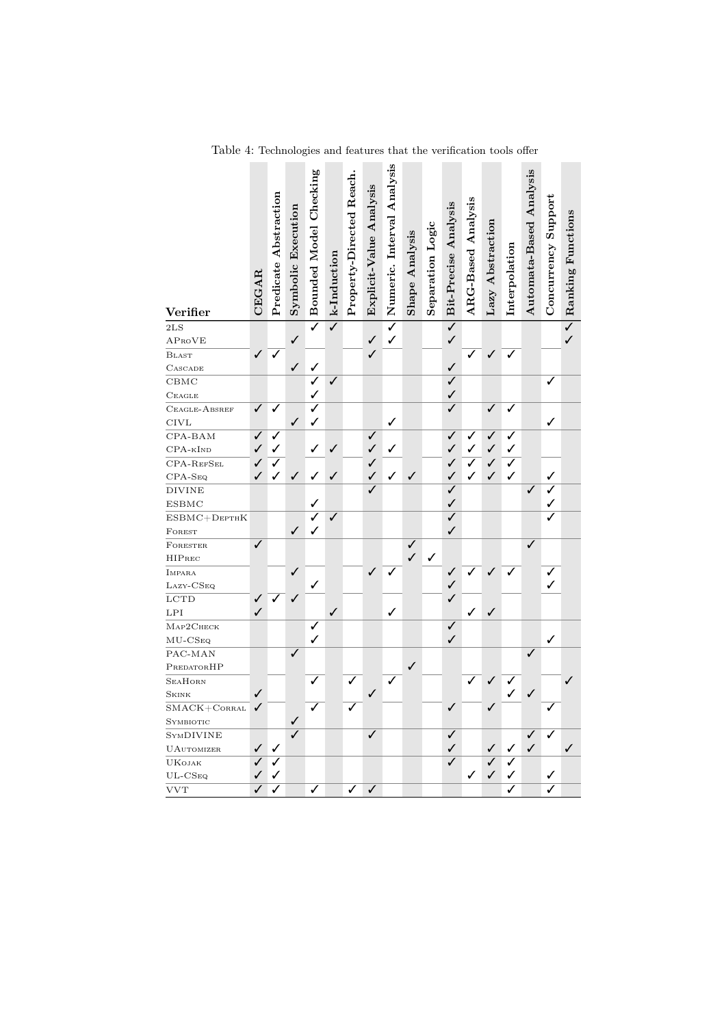<span id="page-7-0"></span>

| Verifier                | CEGAR        | Predicate Abstraction | Symbolic Execution | Bounded Model Checking  | k-Induction | Property-Directed Reach. | Explicit-Value Analysis  | Numeric. Interval Analysis | Shape Analysis | Separation Logic | <b>Bit-Precise Analysis</b> | <b>ARG-Based Analysis</b> | Lazy Abstraction | Interpolation                | Automata-Based Analysis | Concurrency Support | <b>Kanking Functions</b> |
|-------------------------|--------------|-----------------------|--------------------|-------------------------|-------------|--------------------------|--------------------------|----------------------------|----------------|------------------|-----------------------------|---------------------------|------------------|------------------------------|-------------------------|---------------------|--------------------------|
| 2LS                     |              |                       |                    |                         |             |                          |                          | $\overline{\checkmark}$    |                |                  | $\overline{\checkmark}$     |                           |                  |                              |                         |                     | $\checkmark$             |
| APROVE                  |              | Ī                     | ✓                  |                         |             |                          | ✓<br>✓                   | ✓                          |                |                  | ✓                           | Ī                         |                  | ✓                            |                         |                     |                          |
| <b>BLAST</b><br>CASCADE | ✓            |                       | ✓                  | ✓                       |             |                          |                          |                            |                |                  | ✓                           |                           | ✓                |                              |                         |                     |                          |
| CBMC                    |              |                       |                    | ✓                       | ✓           |                          |                          |                            |                |                  | ✓                           |                           |                  |                              |                         | ✓                   |                          |
| <b>CEAGLE</b>           |              |                       |                    | ✓                       |             |                          |                          |                            |                |                  | ✓                           |                           |                  |                              |                         |                     |                          |
| CEAGLE-ABSREF           | √            | ✓                     |                    | $\overline{\checkmark}$ |             |                          |                          |                            |                |                  | ✓                           |                           | ✓                | ✓                            |                         |                     |                          |
| <b>CIVL</b>             |              |                       | ✓                  | $\checkmark$            |             |                          |                          | ✓                          |                |                  |                             |                           |                  |                              |                         | ✓                   |                          |
| CPA-BAM                 | ✓            | ✓                     |                    |                         |             |                          | ✓                        |                            |                |                  | ✓                           |                           | ✓                | ✓                            |                         |                     |                          |
| $CPA - KIND$            | ✓            | J                     |                    | ✓                       | ✓           |                          | J                        | ✓                          |                |                  | ✓                           |                           | ✓                | ✓                            |                         |                     |                          |
| CPA-REFSEL              | ✓            | ✓                     |                    |                         |             |                          | ✓                        |                            |                |                  | ✓                           | ✓                         | ✓                | $\overline{\checkmark}$      |                         |                     |                          |
| $CPA-SEQ$               | ✓            | $\checkmark$          | ✓                  | ✓                       | ✓           |                          | ✓                        | ✓                          | ✓              |                  | ✓                           | ✓                         | ✓                | ✓                            |                         | ✓                   |                          |
| <b>DIVINE</b>           |              |                       |                    |                         |             |                          | $\overline{\mathcal{L}}$ |                            |                |                  | ✓                           |                           |                  |                              | ✓                       |                     |                          |
| <b>ESBMC</b>            |              |                       |                    | ✓                       |             |                          |                          |                            |                |                  | ✓                           |                           |                  |                              |                         | ✓                   |                          |
| $ESBMC+DEPTHK$          |              |                       |                    | Ī                       | ✓           |                          |                          |                            |                |                  | ✓                           |                           |                  |                              |                         | ✓                   |                          |
| FOREST                  |              |                       | ✓                  | ✓                       |             |                          |                          |                            |                |                  | ✓                           |                           |                  |                              |                         |                     |                          |
| FORESTER                | ✓            |                       |                    |                         |             |                          |                          |                            | ✓              |                  |                             |                           |                  |                              | ✓                       |                     |                          |
| <b>HIPREC</b>           |              |                       |                    |                         |             |                          |                          |                            | ✓              | ✓                |                             |                           |                  |                              |                         |                     |                          |
| IMPARA                  |              |                       | ✓                  |                         |             |                          | ✓                        | Ī                          |                |                  | ✓                           |                           | ✓                | ✓                            |                         | ✓                   |                          |
| LAZY-CSEQ               |              |                       |                    | ✓                       |             |                          |                          |                            |                |                  | ✓                           |                           |                  |                              |                         | ✓                   |                          |
| <b>LCTD</b>             | ✓            |                       | $\checkmark$       |                         |             |                          |                          |                            |                |                  | ✓                           |                           |                  |                              |                         |                     |                          |
| LPI                     | ✓            |                       |                    |                         | ✓           |                          |                          | ✓                          |                |                  |                             | ✓                         | ✓                |                              |                         |                     |                          |
| МАР2СНЕСК               |              |                       |                    | $\checkmark$            |             |                          |                          |                            |                |                  | ✓                           |                           |                  |                              |                         |                     |                          |
| MU-CSEQ                 |              |                       |                    | ✓                       |             |                          |                          |                            |                |                  | ✓                           |                           |                  |                              |                         | ✓                   |                          |
| PAC-MAN                 |              |                       | ✓                  |                         |             |                          |                          |                            |                |                  |                             |                           |                  |                              | ✓                       |                     |                          |
| PREDATORHP              |              |                       |                    |                         |             |                          |                          |                            | ✓              |                  |                             |                           |                  |                              |                         |                     |                          |
| <b>SEAHORN</b>          |              |                       |                    | ✓                       |             |                          |                          | ✓                          |                |                  |                             | ✓                         | ✓                | √                            |                         |                     |                          |
| <b>SKINK</b>            | $\checkmark$ |                       |                    |                         |             |                          | J                        |                            |                |                  |                             |                           |                  | ✓                            | ✓                       |                     |                          |
| $SMACK+CORRAL$          | ✓            |                       |                    | Ī                       |             | ✓                        |                          |                            |                |                  | ✓                           |                           | ✓                |                              |                         | ✓                   |                          |
| SYMBIOTIC               |              |                       | ✓                  |                         |             |                          |                          |                            |                |                  |                             |                           |                  |                              |                         |                     |                          |
| SYMDIVINE               |              |                       | ✓                  |                         |             |                          | ✓                        |                            |                |                  | ✓                           |                           |                  |                              | $\checkmark$            |                     |                          |
| <b>UAUTOMIZER</b>       | ✓            | ✓                     |                    |                         |             |                          |                          |                            |                |                  | ✓                           |                           | ✓                | ✓                            | ✓                       |                     | ✓                        |
| UKOJAK                  | ✓            | ✓<br>✓                |                    |                         |             |                          |                          |                            |                |                  | ✓                           |                           | ✓<br>✓           | ✓                            |                         |                     |                          |
| UL-CSEQ                 | ✓            | ✓                     |                    |                         |             |                          |                          |                            |                |                  |                             | ✓                         |                  | ✓<br>$\overline{\checkmark}$ |                         | ✓                   |                          |
| <b>VVT</b>              | ✓            |                       |                    | ✓                       |             | ✓                        | ✓                        |                            |                |                  |                             |                           |                  |                              |                         |                     |                          |

Table 4: Technologies and features that the verification tools offer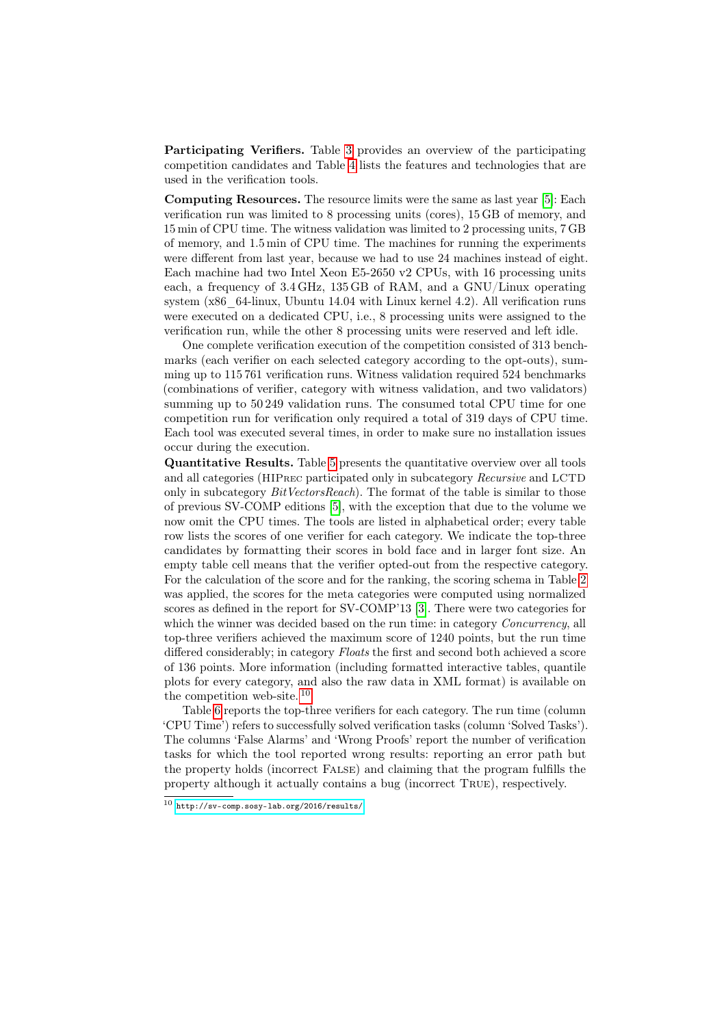Participating Verifiers. Table [3](#page-6-0) provides an overview of the participating competition candidates and Table [4](#page-7-0) lists the features and technologies that are used in the verification tools.

Computing Resources. The resource limits were the same as last year [\[5\]](#page-14-0): Each verification run was limited to 8 processing units (cores), 15 GB of memory, and 15 min of CPU time. The witness validation was limited to 2 processing units, 7 GB of memory, and 1.5 min of CPU time. The machines for running the experiments were different from last year, because we had to use 24 machines instead of eight. Each machine had two Intel Xeon E5-2650 v2 CPUs, with 16 processing units each, a frequency of 3.4 GHz, 135 GB of RAM, and a GNU/Linux operating system (x86 64-linux, Ubuntu 14.04 with Linux kernel 4.2). All verification runs were executed on a dedicated CPU, i.e., 8 processing units were assigned to the verification run, while the other 8 processing units were reserved and left idle.

One complete verification execution of the competition consisted of 313 benchmarks (each verifier on each selected category according to the opt-outs), summing up to 115 761 verification runs. Witness validation required 524 benchmarks (combinations of verifier, category with witness validation, and two validators) summing up to 50 249 validation runs. The consumed total CPU time for one competition run for verification only required a total of 319 days of CPU time. Each tool was executed several times, in order to make sure no installation issues occur during the execution.

Quantitative Results. Table [5](#page-9-0) presents the quantitative overview over all tools and all categories (HIPrec participated only in subcategory Recursive and LCTD only in subcategory  $BitVectorsReach)$ . The format of the table is similar to those of previous SV-COMP editions [\[5\]](#page-14-0), with the exception that due to the volume we now omit the CPU times. The tools are listed in alphabetical order; every table row lists the scores of one verifier for each category. We indicate the top-three candidates by formatting their scores in bold face and in larger font size. An empty table cell means that the verifier opted-out from the respective category. For the calculation of the score and for the ranking, the scoring schema in Table [2](#page-3-1) was applied, the scores for the meta categories were computed using normalized scores as defined in the report for SV-COMP'13 [\[3\]](#page-14-3). There were two categories for which the winner was decided based on the run time: in category *Concurrency*, all top-three verifiers achieved the maximum score of 1240 points, but the run time differed considerably; in category *Floats* the first and second both achieved a score of 136 points. More information (including formatted interactive tables, quantile plots for every category, and also the raw data in XML format) is available on the competition web-site. [10](#page-0-0)

Table [6](#page-10-0) reports the top-three verifiers for each category. The run time (column 'CPU Time') refers to successfully solved verification tasks (column 'Solved Tasks'). The columns 'False Alarms' and 'Wrong Proofs' report the number of verification tasks for which the tool reported wrong results: reporting an error path but the property holds (incorrect False) and claiming that the program fulfills the property although it actually contains a bug (incorrect True), respectively.

 $^{10}$ <http://sv-comp.sosy-lab.org/2016/results/>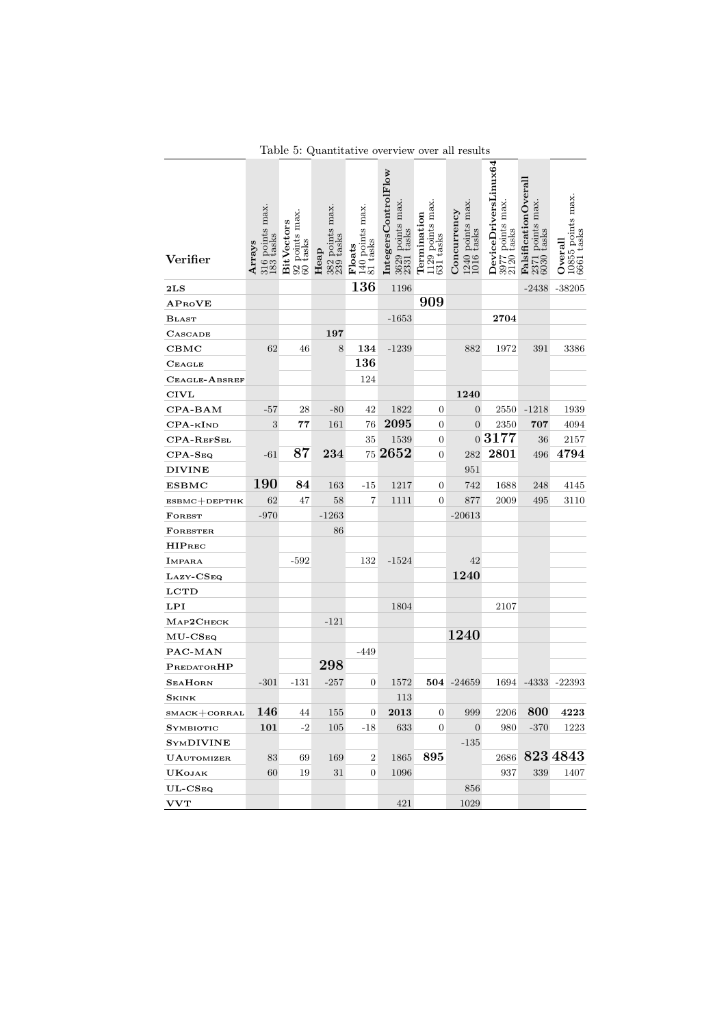<span id="page-9-0"></span>

| Verifier             | 316 points max.<br>.83 tasks<br>Arrays | 92 points max.<br><b>BitVectors</b><br>tasks<br>$\overline{60}$ | 382 points max.<br>239 tasks<br>Heap | 140 points max.<br>tasks<br>Floats | IntegersControlFlow<br>3629 points max.<br>2331 tasks | 129 points max<br>Termination<br>531 täsks | $1240$ points max.<br>1016 tasks<br>Concurrency | DeviceDriversLinux64<br>points max.<br>tasks<br>2120<br>397 | <b>FalsificationOverall</b><br>2371 points max.<br>tasks<br>6030 | 10855 points max.<br>5661 tasks<br>Overall |
|----------------------|----------------------------------------|-----------------------------------------------------------------|--------------------------------------|------------------------------------|-------------------------------------------------------|--------------------------------------------|-------------------------------------------------|-------------------------------------------------------------|------------------------------------------------------------------|--------------------------------------------|
| 2LS                  |                                        |                                                                 |                                      | 136                                | 1196                                                  |                                            |                                                 |                                                             | $-2438$                                                          | $-38205$                                   |
| APROVE               |                                        |                                                                 |                                      |                                    |                                                       | 909                                        |                                                 |                                                             |                                                                  |                                            |
| <b>BLAST</b>         |                                        |                                                                 |                                      |                                    | $-1653$                                               |                                            |                                                 | 2704                                                        |                                                                  |                                            |
| <b>CASCADE</b>       |                                        |                                                                 | 197                                  |                                    |                                                       |                                            |                                                 |                                                             |                                                                  |                                            |
| $\rm CBMC$           | 62                                     | 46                                                              | 8                                    | 134                                | $-1239$                                               |                                            | 882                                             | 1972                                                        | 391                                                              | 3386                                       |
| <b>CEAGLE</b>        |                                        |                                                                 |                                      | 136                                |                                                       |                                            |                                                 |                                                             |                                                                  |                                            |
| <b>CEAGLE-ABSREF</b> |                                        |                                                                 |                                      | 124                                |                                                       |                                            |                                                 |                                                             |                                                                  |                                            |
| <b>CIVL</b>          |                                        |                                                                 |                                      |                                    |                                                       |                                            | 1240                                            |                                                             |                                                                  |                                            |
| $CPA-BAM$            | -57                                    | 28                                                              | $-80$                                | 42                                 | 1822                                                  | $\boldsymbol{0}$                           | $\overline{0}$                                  | 2550                                                        | $-1218$                                                          | 1939                                       |
| CPA-KIND             | 3                                      | 77                                                              | 161                                  | 76                                 | 2095                                                  | $\boldsymbol{0}$                           | $\boldsymbol{0}$                                | 2350                                                        | 707                                                              | 4094                                       |
| <b>CPA-REFSEL</b>    |                                        |                                                                 |                                      | 35                                 | 1539                                                  | $\boldsymbol{0}$                           |                                                 | 0.3177                                                      | 36                                                               | 2157                                       |
| $CPA-SeQ$            | $-61$                                  | 87                                                              | 234                                  | 75                                 | 2652                                                  | $\boldsymbol{0}$                           | 282                                             | 2801                                                        | 496                                                              | 4794                                       |
| <b>DIVINE</b>        |                                        |                                                                 |                                      |                                    |                                                       |                                            | 951                                             |                                                             |                                                                  |                                            |
| <b>ESBMC</b>         | 190                                    | 84                                                              | 163                                  | $-15$                              | 1217                                                  | $\mathbf{0}$                               | 742                                             | 1688                                                        | 248                                                              | 4145                                       |
| $ESBMC+DEPTHK$       | 62                                     | 47                                                              | 58                                   | 7                                  | 1111                                                  | $\overline{0}$                             | 877                                             | 2009                                                        | 495                                                              | 3110                                       |
| <b>FOREST</b>        | $-970$                                 |                                                                 | $-1263$                              |                                    |                                                       |                                            | $-20613$                                        |                                                             |                                                                  |                                            |
| <b>FORESTER</b>      |                                        |                                                                 | 86                                   |                                    |                                                       |                                            |                                                 |                                                             |                                                                  |                                            |
| <b>HIPREC</b>        |                                        |                                                                 |                                      |                                    |                                                       |                                            |                                                 |                                                             |                                                                  |                                            |
| <b>IMPARA</b>        |                                        | $-592$                                                          |                                      | 132                                | $-1524$                                               |                                            | 42                                              |                                                             |                                                                  |                                            |
| LAZY-CSEQ            |                                        |                                                                 |                                      |                                    |                                                       |                                            | 1240                                            |                                                             |                                                                  |                                            |
| <b>LCTD</b>          |                                        |                                                                 |                                      |                                    |                                                       |                                            |                                                 |                                                             |                                                                  |                                            |
| LPI                  |                                        |                                                                 |                                      |                                    | 1804                                                  |                                            |                                                 | 2107                                                        |                                                                  |                                            |
| MAP2CHECK            |                                        |                                                                 | $-121$                               |                                    |                                                       |                                            |                                                 |                                                             |                                                                  |                                            |
| $MU-CSEQ$            |                                        |                                                                 |                                      |                                    |                                                       |                                            | 1240                                            |                                                             |                                                                  |                                            |
| PAC-MAN              |                                        |                                                                 |                                      | $-449$                             |                                                       |                                            |                                                 |                                                             |                                                                  |                                            |
| PREDATORHP           |                                        |                                                                 | 298                                  |                                    |                                                       |                                            |                                                 |                                                             |                                                                  |                                            |
| <b>SEAHORN</b>       | $-301$                                 | -131                                                            | $-257$                               | 0                                  | 1572                                                  |                                            | 504 -24659                                      | 1694                                                        | -4333                                                            | -22393                                     |
| <b>SKINK</b>         |                                        |                                                                 |                                      |                                    | 113                                                   |                                            |                                                 |                                                             |                                                                  |                                            |
| $s$ MACK $+$ CORRAL  | 146                                    | 44                                                              | 155                                  | $\mathbf{0}$                       | 2013                                                  | 0                                          | 999                                             | 2206                                                        | 800                                                              | 4223                                       |
| SYMBIOTIC            | 101                                    | $-2$                                                            | $105\,$                              | $-18$                              | 633                                                   | $\overline{0}$                             | $\boldsymbol{0}$                                | 980                                                         | $-370$                                                           | 1223                                       |
| <b>SYMDIVINE</b>     |                                        |                                                                 |                                      |                                    |                                                       |                                            | $-135$                                          |                                                             |                                                                  |                                            |
| <b>UAUTOMIZER</b>    | 83                                     | 69                                                              | 169                                  | $\,2$                              | 1865                                                  | 895                                        |                                                 | 2686                                                        |                                                                  | 823 4843                                   |
| <b>UKOJAK</b>        | 60                                     | 19                                                              | $31\,$                               | $\boldsymbol{0}$                   | 1096                                                  |                                            |                                                 | 937                                                         | $339\,$                                                          | 1407                                       |
| $UL-CEEQ$            |                                        |                                                                 |                                      |                                    |                                                       |                                            | 856                                             |                                                             |                                                                  |                                            |
| <b>VVT</b>           |                                        |                                                                 |                                      |                                    | $421\,$                                               |                                            | $1029\,$                                        |                                                             |                                                                  |                                            |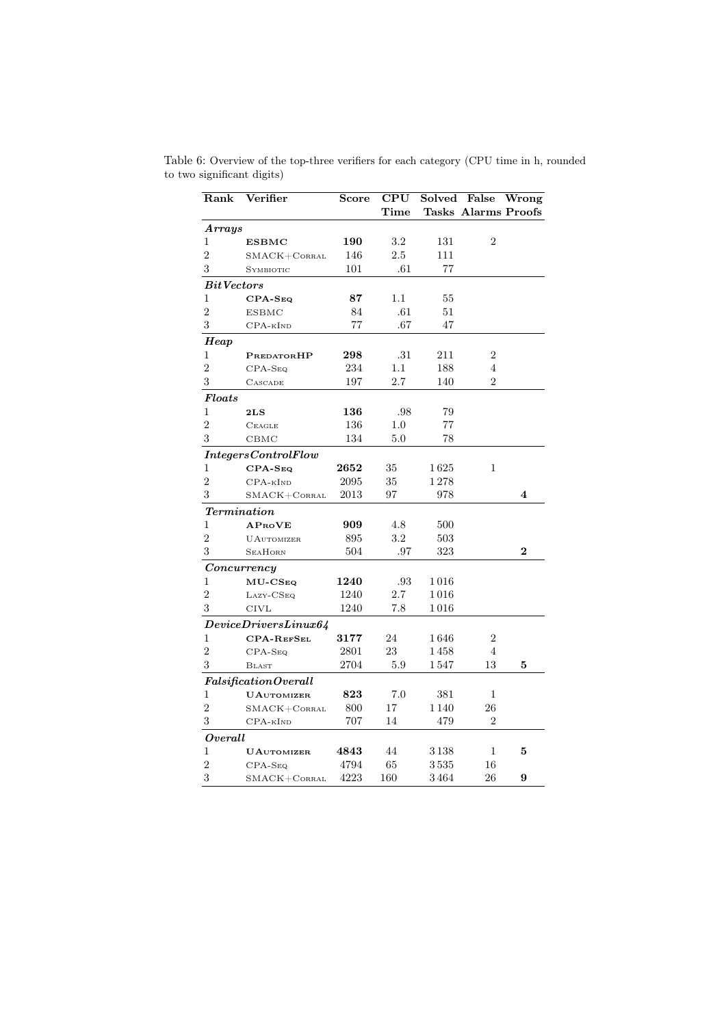| Rank              | Verifier                | Score | ${\bf CPU}$ | Solved   | False                      | Wrong          |
|-------------------|-------------------------|-------|-------------|----------|----------------------------|----------------|
|                   |                         |       | Time        |          | <b>Tasks Alarms Proofs</b> |                |
| Arrays            |                         |       |             |          |                            |                |
| 1                 | <b>ESBMC</b>            | 190   | $\!3.2\!$   | 131      | $\overline{2}$             |                |
| $\overline{2}$    | $SMACK + CORRAL$        | 146   | 2.5         | 111      |                            |                |
| 3                 | SYMBIOTIC               | 101   | .61         | 77       |                            |                |
| <b>BitVectors</b> |                         |       |             |          |                            |                |
| 1                 | $CPA-SeQ$               | 87    | 1.1         | 55       |                            |                |
| $\overline{2}$    | <b>ESBMC</b>            | 84    | .61         | 51       |                            |                |
| 3                 | $CPA - KIND$            | 77    | .67         | 47       |                            |                |
| Heap              |                         |       |             |          |                            |                |
| 1                 | PREDATORHP              | 298   | .31         | 211      | $\overline{2}$             |                |
| $\overline{2}$    | $CPA-SEQ$               | 234   | 1.1         | 188      | $\overline{4}$             |                |
| 3                 | $C$ ASCADE              | 197   | 2.7         | 140      | $\overline{2}$             |                |
| Floads            |                         |       |             |          |                            |                |
| 1                 | 2LS                     | 136   | $.98\,$     | 79       |                            |                |
| $\overline{2}$    | CEAGLE                  | 136   | 1.0         | 77       |                            |                |
| 3                 | CBMC                    | 134   | 5.0         | 78       |                            |                |
|                   | Integers ControlFlow    |       |             |          |                            |                |
| 1                 | $CPA-SeQ$               | 2652  | 35          | 1625     | $\mathbf{1}$               |                |
| $\overline{2}$    | $CPA - \kappa$ IND      | 2095  | 35          | 1278     |                            |                |
| 3                 | $SMACK + CORRAL$        | 2013  | 97          | 978      |                            | 4              |
|                   | Termination             |       |             |          |                            |                |
| 1                 | <b>APROVE</b>           | 909   | 4.8         | 500      |                            |                |
| $\overline{2}$    | <b>UAUTOMIZER</b>       | 895   | 3.2         | 503      |                            |                |
| 3                 | <b>SEAHORN</b>          | 504   | .97         | 323      |                            | $\overline{2}$ |
|                   | Concurrency             |       |             |          |                            |                |
| 1                 | $MU-CSEQ$               | 1240  | .93         | 1016     |                            |                |
| $\overline{2}$    | LAZY-CSEQ               | 1240  | 2.7         | 1016     |                            |                |
| 3                 | CIVL                    | 1240  | 7.8         | $1\,016$ |                            |                |
|                   | Device Drivers Linux 64 |       |             |          |                            |                |
| 1                 | CPA-REFSEL              | 3177  | 24          | 1646     | $\overline{2}$             |                |
| $\overline{2}$    | $CPA-SEQ$               | 2801  | 23          | 1458     | 4                          |                |
| 3                 | <b>BLAST</b>            | 2704  | 5.9         | 1547     | 13                         | 5              |
|                   | Falsification Overall   |       |             |          |                            |                |
| 1                 | <b>UAUTOMIZER</b>       | 823   | 7.0         | 381      | 1                          |                |
| $\overline{2}$    | $SMACK + CORRAL$        | 800   | 17          | 1140     | 26                         |                |
| 3                 | $CPA-KIND$              | 707   | 14          | 479      | $\overline{2}$             |                |
| Overall           |                         |       |             |          |                            |                |
| 1                 | <b>UAUTOMIZER</b>       | 4843  | 44          | 3 1 3 8  | 1                          | 5              |
| $\overline{2}$    | $CPA-SEQ$               | 4794  | 65          | 3535     | 16                         |                |
| 3                 | $SMACK + CORRAL$        | 4223  | 160         | 3464     | 26                         | 9              |

<span id="page-10-0"></span>Table 6: Overview of the top-three verifiers for each category (CPU time in h, rounded to two significant digits)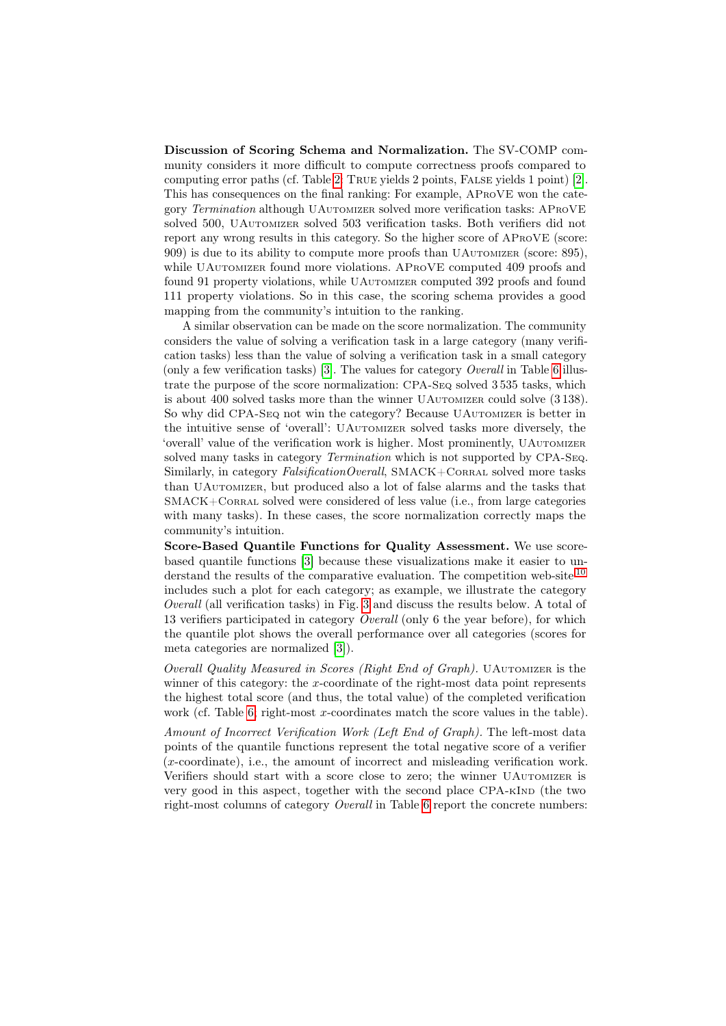Discussion of Scoring Schema and Normalization. The SV-COMP community considers it more difficult to compute correctness proofs compared to computing error paths (cf. Table [2:](#page-3-1) True yields 2 points, False yields 1 point) [\[2\]](#page-14-2). This has consequences on the final ranking: For example, AProVE won the category Termination although UAutomizer solved more verification tasks: AProVE solved 500, UAUTOMIZER solved 503 verification tasks. Both verifiers did not report any wrong results in this category. So the higher score of AProVE (score: 909) is due to its ability to compute more proofs than UAutomizer (score: 895), while UAUTOMIZER found more violations. APROVE computed 409 proofs and found 91 property violations, while UAutomizer computed 392 proofs and found 111 property violations. So in this case, the scoring schema provides a good mapping from the community's intuition to the ranking.

A similar observation can be made on the score normalization. The community considers the value of solving a verification task in a large category (many verification tasks) less than the value of solving a verification task in a small category (only a few verification tasks) [\[3\]](#page-14-3). The values for category *Overall* in Table [6](#page-10-0) illustrate the purpose of the score normalization: CPA-Seq solved 3 535 tasks, which is about 400 solved tasks more than the winner UAUTOMIZER could solve  $(3\,138)$ . So why did CPA-Seq not win the category? Because UAutomizer is better in the intuitive sense of 'overall': UAutomizer solved tasks more diversely, the 'overall' value of the verification work is higher. Most prominently, UAutomizer solved many tasks in category *Termination* which is not supported by CPA-SEQ. Similarly, in category  $FalsificationOverall$ , SMACK+Corral solved more tasks than UAUTOMIZER, but produced also a lot of false alarms and the tasks that SMACK+Corral solved were considered of less value (i.e., from large categories with many tasks). In these cases, the score normalization correctly maps the community's intuition.

Score-Based Quantile Functions for Quality Assessment. We use scorebased quantile functions [\[3\]](#page-14-3) because these visualizations make it easier to understand the results of the comparative evaluation. The competition web-site  $10$ includes such a plot for each category; as example, we illustrate the category Overall (all verification tasks) in Fig. [3](#page-12-0) and discuss the results below. A total of 13 verifiers participated in category *Overall* (only 6 the year before), for which the quantile plot shows the overall performance over all categories (scores for meta categories are normalized [\[3\]](#page-14-3)).

Overall Quality Measured in Scores (Right End of Graph). UAUTOMIZER is the winner of this category: the x-coordinate of the right-most data point represents the highest total score (and thus, the total value) of the completed verification work (cf. Table [6;](#page-10-0) right-most  $x$ -coordinates match the score values in the table).

Amount of Incorrect Verification Work (Left End of Graph). The left-most data points of the quantile functions represent the total negative score of a verifier (x-coordinate), i.e., the amount of incorrect and misleading verification work. Verifiers should start with a score close to zero; the winner UAutomizer is very good in this aspect, together with the second place CPA-kIND (the two right-most columns of category *Overall* in Table [6](#page-10-0) report the concrete numbers: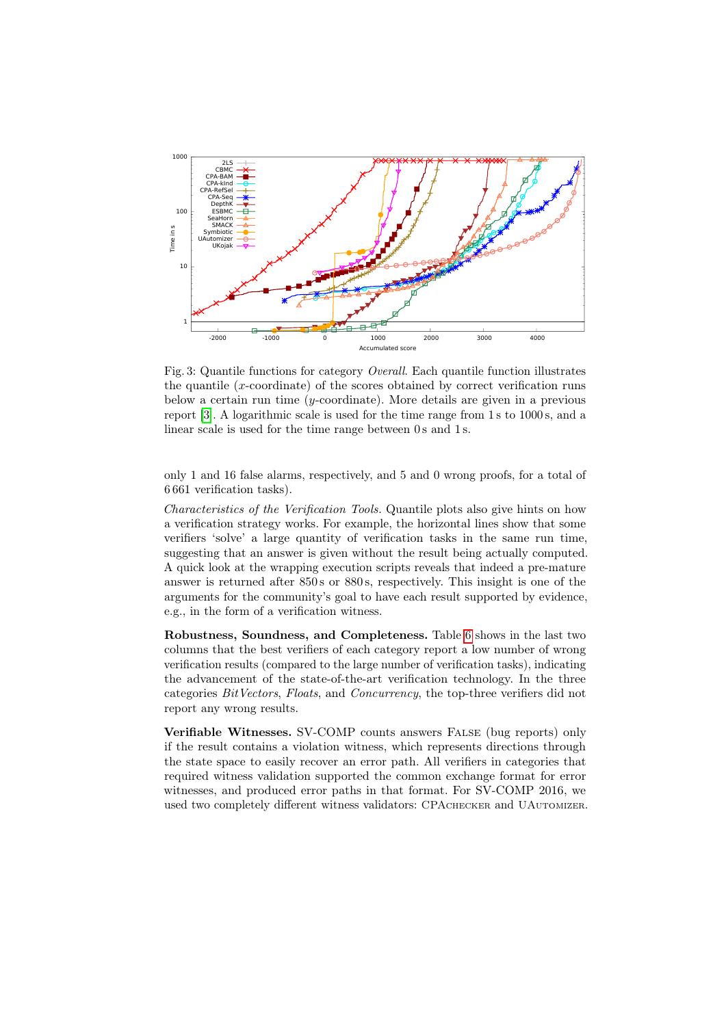<span id="page-12-0"></span>

Fig. 3: Quantile functions for category Overall. Each quantile function illustrates the quantile  $(x$ -coordinate) of the scores obtained by correct verification runs below a certain run time ( $y$ -coordinate). More details are given in a previous report [\[3\]](#page-14-3). A logarithmic scale is used for the time range from 1 s to 1000 s, and a linear scale is used for the time range between 0s and 1s.

only 1 and 16 false alarms, respectively, and 5 and 0 wrong proofs, for a total of 6 661 verification tasks).

Characteristics of the Verification Tools. Quantile plots also give hints on how a verification strategy works. For example, the horizontal lines show that some verifiers 'solve' a large quantity of verification tasks in the same run time, suggesting that an answer is given without the result being actually computed. A quick look at the wrapping execution scripts reveals that indeed a pre-mature answer is returned after 850 s or 880 s, respectively. This insight is one of the arguments for the community's goal to have each result supported by evidence, e.g., in the form of a verification witness.

Robustness, Soundness, and Completeness. Table [6](#page-10-0) shows in the last two columns that the best verifiers of each category report a low number of wrong verification results (compared to the large number of verification tasks), indicating the advancement of the state-of-the-art verification technology. In the three categories BitVectors, Floats, and Concurrency, the top-three verifiers did not report any wrong results.

Verifiable Witnesses. SV-COMP counts answers False (bug reports) only if the result contains a violation witness, which represents directions through the state space to easily recover an error path. All verifiers in categories that required witness validation supported the common exchange format for error witnesses, and produced error paths in that format. For SV-COMP 2016, we used two completely different witness validators: CPAchecker and UAutomizer.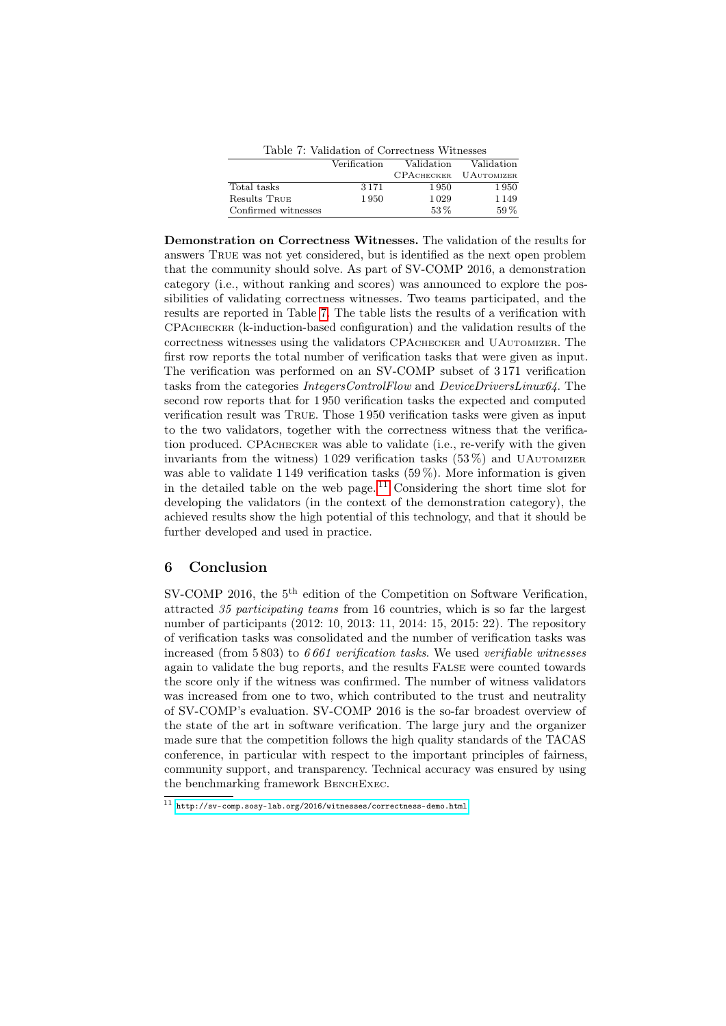<span id="page-13-0"></span>

| Table 7: Validation of Correctness Witnesses |                    |                       |                       |  |  |  |  |  |  |
|----------------------------------------------|--------------------|-----------------------|-----------------------|--|--|--|--|--|--|
|                                              | $\rm Verification$ |                       | Validation Validation |  |  |  |  |  |  |
|                                              |                    | CPACHECKER UAUTOMIZER |                       |  |  |  |  |  |  |
| Total tasks                                  | 3171               | 1950                  | 1950                  |  |  |  |  |  |  |
| Results TRUE                                 | 1950               | 1 0 2 9               | 1 1 4 9               |  |  |  |  |  |  |
| Confirmed witnesses                          |                    | $53\%$                | 59%                   |  |  |  |  |  |  |

Demonstration on Correctness Witnesses. The validation of the results for answers True was not yet considered, but is identified as the next open problem that the community should solve. As part of SV-COMP 2016, a demonstration category (i.e., without ranking and scores) was announced to explore the possibilities of validating correctness witnesses. Two teams participated, and the results are reported in Table [7.](#page-13-0) The table lists the results of a verification with CPAchecker (k-induction-based configuration) and the validation results of the correctness witnesses using the validators CPAchecker and UAutomizer. The first row reports the total number of verification tasks that were given as input. The verification was performed on an SV-COMP subset of 3 171 verification tasks from the categories IntegersControlFlow and DeviceDriversLinux64. The second row reports that for 1 950 verification tasks the expected and computed verification result was True. Those 1 950 verification tasks were given as input to the two validators, together with the correctness witness that the verification produced. CPAchecker was able to validate (i.e., re-verify with the given invariants from the witness)  $1029$  verification tasks  $(53\%)$  and UAUTOMIZER was able to validate 1 149 verification tasks  $(59\%)$ . More information is given in the detailed table on the web page. [11](#page-0-0) Considering the short time slot for developing the validators (in the context of the demonstration category), the achieved results show the high potential of this technology, and that it should be further developed and used in practice.

#### 6 Conclusion

SV-COMP 2016, the 5<sup>th</sup> edition of the Competition on Software Verification, attracted 35 participating teams from 16 countries, which is so far the largest number of participants (2012: 10, 2013: 11, 2014: 15, 2015: 22). The repository of verification tasks was consolidated and the number of verification tasks was increased (from  $5\,803$ ) to  $6\,661$  verification tasks. We used verifiable witnesses again to validate the bug reports, and the results False were counted towards the score only if the witness was confirmed. The number of witness validators was increased from one to two, which contributed to the trust and neutrality of SV-COMP's evaluation. SV-COMP 2016 is the so-far broadest overview of the state of the art in software verification. The large jury and the organizer made sure that the competition follows the high quality standards of the TACAS conference, in particular with respect to the important principles of fairness, community support, and transparency. Technical accuracy was ensured by using the benchmarking framework BenchExec.

 $11$  <http://sv-comp.sosy-lab.org/2016/witnesses/correctness-demo.html>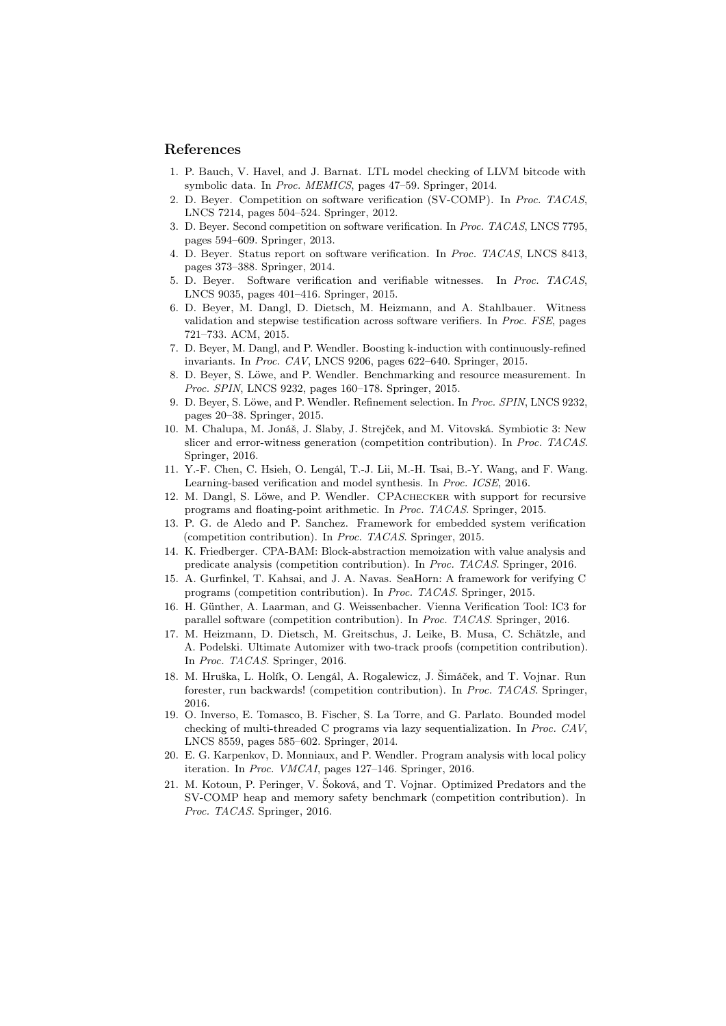#### References

- <span id="page-14-18"></span>1. P. Bauch, V. Havel, and J. Barnat. LTL model checking of LLVM bitcode with symbolic data. In Proc. MEMICS, pages 47–59. Springer, 2014.
- <span id="page-14-2"></span>2. [D. Beyer. Competition on software verification \(SV-COMP\). In](http://dx.doi.org/10.1007/978-3-642-28756-5_38) Proc. TACAS, [LNCS 7214, pages 504–524. Springer, 2012.](http://dx.doi.org/10.1007/978-3-642-28756-5_38)
- <span id="page-14-3"></span>3. [D. Beyer. Second competition on software verification. In](http://dx.doi.org/10.1007/978-3-642-36742-7_43) Proc. TACAS, LNCS 7795, [pages 594–609. Springer, 2013.](http://dx.doi.org/10.1007/978-3-642-36742-7_43)
- <span id="page-14-1"></span>4. [D. Beyer. Status report on software verification. In](http://dx.doi.org/10.1007/978-3-642-54862-8_25) Proc. TACAS, LNCS 8413, [pages 373–388. Springer, 2014.](http://dx.doi.org/10.1007/978-3-642-54862-8_25)
- <span id="page-14-0"></span>5. [D. Beyer. Software verification and verifiable witnesses. In](http://dx.doi.org/10.1007/978-3-662-46681-0_31) Proc. TACAS, [LNCS 9035, pages 401–416. Springer, 2015.](http://dx.doi.org/10.1007/978-3-662-46681-0_31)
- <span id="page-14-4"></span>6. [D. Beyer, M. Dangl, D. Dietsch, M. Heizmann, and A. Stahlbauer. Witness](http://dx.doi.org/10.1145/2786805.2786867) [validation and stepwise testification across software verifiers. In](http://dx.doi.org/10.1145/2786805.2786867) Proc. FSE, pages [721–733. ACM, 2015.](http://dx.doi.org/10.1145/2786805.2786867)
- <span id="page-14-7"></span>7. [D. Beyer, M. Dangl, and P. Wendler. Boosting k-induction with continuously-refined](http://dx.doi.org/10.1007/978-3-319-21690-4_42) invariants. In Proc. CAV[, LNCS 9206, pages 622–640. Springer, 2015.](http://dx.doi.org/10.1007/978-3-319-21690-4_42)
- <span id="page-14-5"></span>8. [D. Beyer, S. Löwe, and P. Wendler. Benchmarking and resource measurement. In](http://dx.doi.org/10.1007/978-3-319-23404-5_12) Proc. SPIN[, LNCS 9232, pages 160–178. Springer, 2015.](http://dx.doi.org/10.1007/978-3-319-23404-5_12)
- <span id="page-14-8"></span>9. [D. Beyer, S. Löwe, and P. Wendler. Refinement selection. In](http://dx.doi.org/10.1007/978-3-319-23404-5_3) Proc. SPIN, LNCS 9232, [pages 20–38. Springer, 2015.](http://dx.doi.org/10.1007/978-3-319-23404-5_3)
- <span id="page-14-17"></span>10. M. Chalupa, M. Jonáš, J. Slaby, J. Strejček, and M. Vitovská. Symbiotic 3: New slicer and error-witness generation (competition contribution). In Proc. TACAS. Springer, 2016.
- <span id="page-14-14"></span>11. Y.-F. Chen, C. Hsieh, O. Lengál, T.-J. Lii, M.-H. Tsai, B.-Y. Wang, and F. Wang. Learning-based verification and model synthesis. In Proc. ICSE, 2016.
- <span id="page-14-9"></span>12. M. Dangl, S. Löwe, and P. Wendler. CPAchecker with support for recursive programs and floating-point arithmetic. In Proc. TACAS. Springer, 2015.
- <span id="page-14-10"></span>13. P. G. de Aledo and P. Sanchez. Framework for embedded system verification (competition contribution). In Proc. TACAS. Springer, 2015.
- <span id="page-14-6"></span>14. K. Friedberger. CPA-BAM: Block-abstraction memoization with value analysis and predicate analysis (competition contribution). In Proc. TACAS. Springer, 2016.
- <span id="page-14-16"></span>15. A. Gurfinkel, T. Kahsai, and J. A. Navas. SeaHorn: A framework for verifying C programs (competition contribution). In Proc. TACAS. Springer, 2015.
- <span id="page-14-20"></span>16. H. Günther, A. Laarman, and G. Weissenbacher. Vienna Verification Tool: IC3 for parallel software (competition contribution). In Proc. TACAS. Springer, 2016.
- <span id="page-14-19"></span>17. M. Heizmann, D. Dietsch, M. Greitschus, J. Leike, B. Musa, C. Schätzle, and A. Podelski. Ultimate Automizer with two-track proofs (competition contribution). In Proc. TACAS. Springer, 2016.
- <span id="page-14-11"></span>18. M. Hruška, L. Holík, O. Lengál, A. Rogalewicz, J. Šimáček, and T. Vojnar. Run forester, run backwards! (competition contribution). In Proc. TACAS. Springer, 2016.
- <span id="page-14-12"></span>19. O. Inverso, E. Tomasco, B. Fischer, S. La Torre, and G. Parlato. Bounded model checking of multi-threaded C programs via lazy sequentialization. In Proc. CAV, LNCS 8559, pages 585–602. Springer, 2014.
- <span id="page-14-13"></span>20. E. G. Karpenkov, D. Monniaux, and P. Wendler. Program analysis with local policy iteration. In Proc. VMCAI, pages 127–146. Springer, 2016.
- <span id="page-14-15"></span>21. M. Kotoun, P. Peringer, V. Šoková, and T. Vojnar. Optimized Predators and the SV-COMP heap and memory safety benchmark (competition contribution). In Proc. TACAS. Springer, 2016.